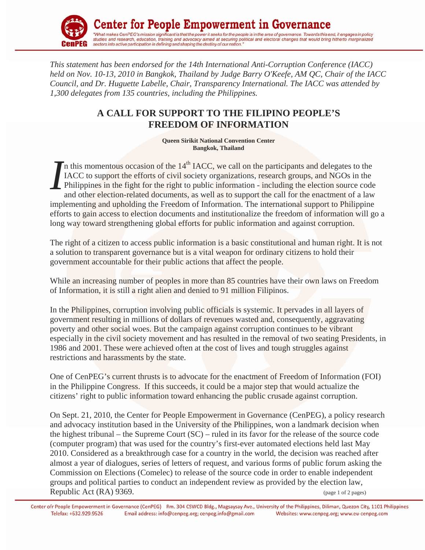

*This statement has been endorsed for the 14th International Anti-Corruption Conference (IACC) held on Nov. 10-13, 2010 in Bangkok, Thailand by Judge Barry O'Keefe, AM QC, Chair of the IACC Council, and Dr. Huguette Labelle, Chair, Transparency International. The IACC was attended by 1,300 delegates from 135 countries, including the Philippines.* 

## **A CALL FOR SUPPORT TO THE FILIPINO PEOPLE'S FREEDOM OF INFORMATION**

**Queen Sirikit National Convention Center Bangkok, Thailand** 

In this momentous occasion of the  $14<sup>th</sup>$  IACC, we call on the participants and delegates to the IACC to support the efforts of civil society organizations, research groups, and NGOs in the Philippines in the fight for the right to public information - including the election source code and other election-related documents, as well as to support the call for the enactment of a law implementing and upholding the Freedom of Information. The international support to Philippine efforts to gain access to election documents and institutionalize the freedom of information will go a long way toward strengthening global efforts for public information and against corruption. *I*

The right of a citizen to access public information is a basic constitutional and human right. It is not a solution to transparent governance but is a vital weapon for ordinary citizens to hold their government accountable for their public actions that affect the people.

While an increasing number of peoples in more than 85 countries have their own laws on Freedom of Information, it is still a right alien and denied to 91 million Filipinos.

In the Philippines, corruption involving public officials is systemic. It pervades in all layers of government resulting in millions of dollars of revenues wasted and, consequently, aggravating poverty and other social woes. But the campaign against corruption continues to be vibrant especially in the civil society movement and has resulted in the removal of two seating Presidents, in 1986 and 2001. These were achieved often at the cost of lives and tough struggles against restrictions and harassments by the state.

One of CenPEG's current thrusts is to advocate for the enactment of Freedom of Information (FOI) in the Philippine Congress. If this succeeds, it could be a major step that would actualize the citizens' right to public information toward enhancing the public crusade against corruption.

On Sept. 21, 2010, the Center for People Empowerment in Governance (CenPEG), a policy research and advocacy institution based in the University of the Philippines, won a landmark decision when the highest tribunal – the Supreme Court (SC) – ruled in its favor for the release of the source code (computer program) that was used for the country's first-ever automated elections held last May 2010. Considered as a breakthrough case for a country in the world, the decision was reached after almost a year of dialogues, series of letters of request, and various forms of public forum asking the Commission on Elections (Comelec) to release of the source code in order to enable independent groups and political parties to conduct an independent review as provided by the election law, Republic Act  $(RA)$  9369.

Center ofr People Empowerment in Governance (CenPEG) Rm. 304 CSWCD Bldg., Magsaysay Ave., University of the Philippines, Diliman, Quezon City, 1101 Philippines Telefax: +632.929.9526 Email address: info@cenpeg.org; cenpeg.info@gmail.com Websites: www.cenpeg.org; www.eu-cenpeg.com